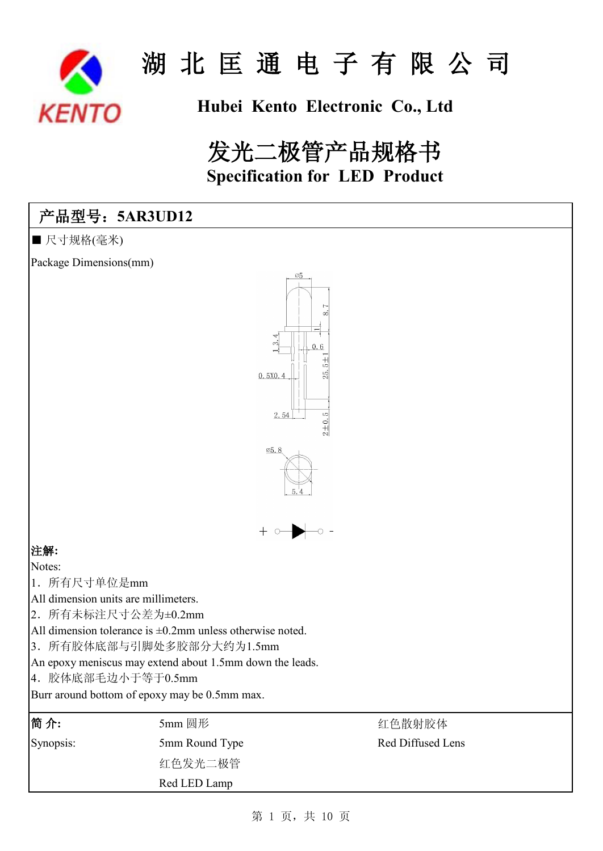

# **Hubei Kento Electronic Co., Ltd**

# 发光二极管产品规格书 **Specification for LED Product**

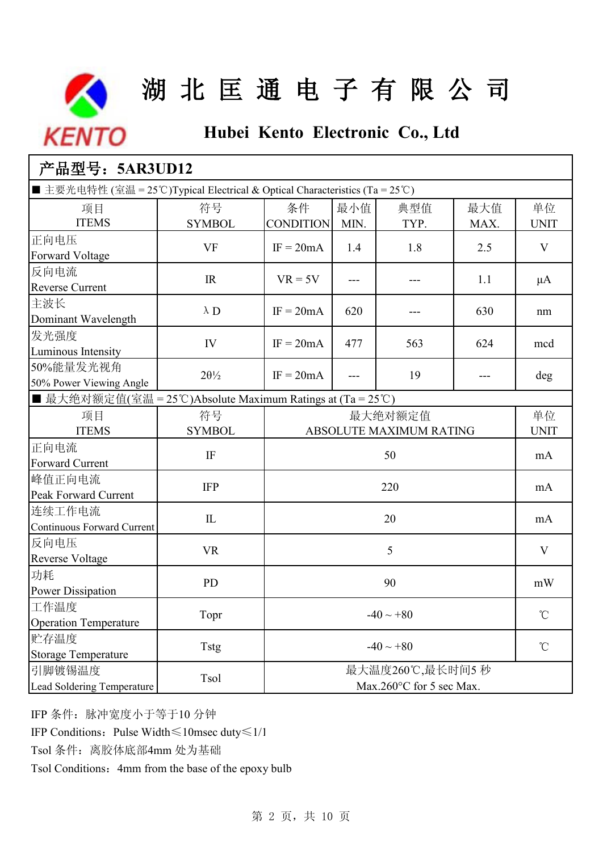

# **Hubei Kento Electronic Co., Ltd**

| 产品型号: 5AR3UD12                                                               |                      |                                             |             |             |                   |                   |
|------------------------------------------------------------------------------|----------------------|---------------------------------------------|-------------|-------------|-------------------|-------------------|
| ■ 主要光电特性 (室温 = 25°C)Typical Electrical & Optical Characteristics (Ta = 25°C) |                      |                                             |             |             |                   |                   |
| 项目<br><b>ITEMS</b>                                                           | 符号<br><b>SYMBOL</b>  | 条件<br><b>CONDITION</b>                      | 最小值<br>MIN. | 典型值<br>TYP. | 最大值<br>MAX.       | 单位<br><b>UNIT</b> |
| 正向电压<br><b>Forward Voltage</b>                                               | <b>VF</b>            | $IF = 20mA$                                 | 1.4         | 1.8         | 2.5               | V                 |
| 反向电流<br><b>Reverse Current</b>                                               | IR                   | $VR = 5V$                                   | ---         | ---         | 1.1               | $\mu A$           |
| 主波长<br>Dominant Wavelength                                                   | $\lambda$ D          | $IF = 20mA$                                 | 620         | ---         | 630               | nm                |
| 发光强度<br>Luminous Intensity                                                   | IV                   | $IF = 20mA$                                 | 477         | 563         | 624               | mcd               |
| 50%能量发光视角<br>50% Power Viewing Angle                                         | $2\theta\frac{1}{2}$ | $IF = 20mA$                                 | ---         | 19          | ---               | deg               |
| ■ 最大绝对额定值(室温 = 25℃)Absolute Maximum Ratings at (Ta = 25℃)                    |                      |                                             |             |             |                   |                   |
| 项目<br><b>ITEMS</b>                                                           | 符号<br><b>SYMBOL</b>  | 最大绝对额定值<br>ABSOLUTE MAXIMUM RATING          |             |             | 单位<br><b>UNIT</b> |                   |
| 正向电流<br>Forward Current                                                      | $\rm IF$             | 50                                          |             |             | mA                |                   |
| 峰值正向电流<br>Peak Forward Current                                               | <b>IFP</b>           | 220                                         |             |             | mA                |                   |
| 连续工作电流<br>Continuous Forward Current                                         | $\mathbbm{L}$        |                                             | 20<br>mA    |             |                   |                   |
| 反向电压<br><b>Reverse Voltage</b>                                               | <b>VR</b>            |                                             |             | 5           |                   | V                 |
| 功耗<br><b>Power Dissipation</b>                                               | <b>PD</b>            | 90                                          |             |             | mW                |                   |
| 工作温度<br><b>Operation Temperature</b>                                         | Topr                 | $-40 \sim +80$                              |             |             | $^\circ\!{\rm C}$ |                   |
| 贮存温度<br><b>Storage Temperature</b>                                           | Tstg                 | $-40 \sim +80$                              |             |             | $^{\circ}$ C      |                   |
| 引脚镀锡温度<br>Lead Soldering Temperature                                         | Tsol                 | 最大温度260℃,最长时间5秒<br>Max.260°C for 5 sec Max. |             |             |                   |                   |

IFP 条件:脉冲宽度小于等于10 分钟

IFP Conditions:Pulse Width≤10msec duty≤1/10

Tsol 条件: 离胶体底部4mm 处为基础

Tsol Conditions: 4mm from the base of the epoxy bulb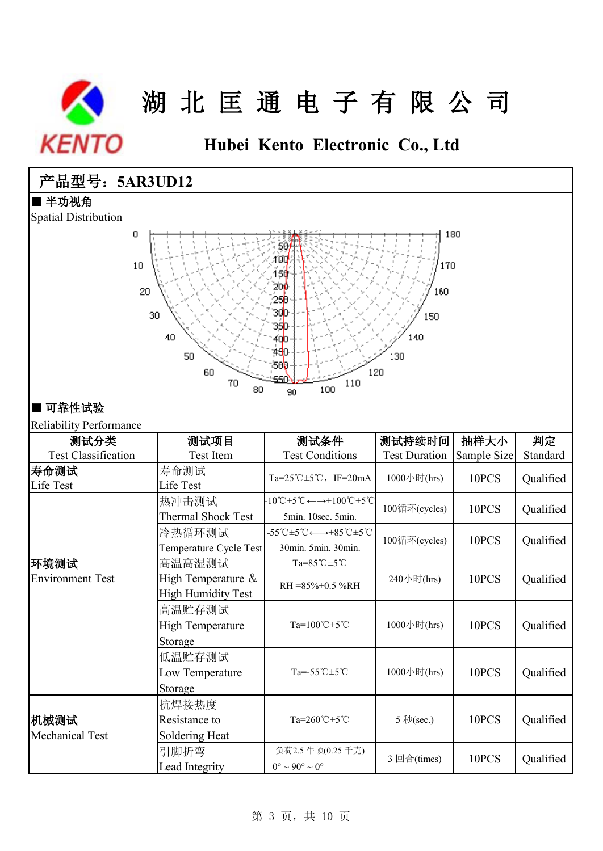

**Hubei Kento Electronic Co., Ltd**

## 产品型号:**5AR3UD12**

### ■ 半功视角

Spatial Distribution



### ■ 可靠性试验

### Reliability Performance

| 测试分类                            | 测试项目                                                      | 测试条件                                                                                                                                | 测试持续时间               | 抽样大小        | 判定        |
|---------------------------------|-----------------------------------------------------------|-------------------------------------------------------------------------------------------------------------------------------------|----------------------|-------------|-----------|
| <b>Test Classification</b>      | Test Item                                                 | <b>Test Conditions</b>                                                                                                              | <b>Test Duration</b> | Sample Size | Standard  |
| 寿命测试<br>Life Test               | 寿命测试<br>Life Test                                         | Ta=25°C $\pm$ 5°C, IF=20mA                                                                                                          | 1000小时(hrs)          | 10PCS       | Qualified |
|                                 | 热冲击测试<br><b>Thermal Shock Test</b>                        | $-10^{\circ}\text{C} \pm 5^{\circ}\text{C} \leftarrow \rightarrow +100^{\circ}\text{C} \pm 5^{\circ}\text{C}$<br>5min. 10sec. 5min. | 100循环(cycles)        | 10PCS       | Qualified |
|                                 | 冷热循环测试<br>Temperature Cycle Test                          | $-55^{\circ}$ C $\pm$ 5 $^{\circ}$ C $\leftarrow$ $\rightarrow$ +85 $^{\circ}$ C $\pm$ 5 $^{\circ}$ C<br>30min. 5min. 30min.        | 100循环(cycles)        | 10PCS       | Qualified |
| 环境测试<br><b>Environment Test</b> | 高温高湿测试<br>High Temperature &<br><b>High Humidity Test</b> | $Ta=85^{\circ}C\pm5^{\circ}C$<br>$RH = 85\% \pm 0.5\% RH$                                                                           | 240小时(hrs)           | 10PCS       | Qualified |
|                                 | 高温贮存测试<br><b>High Temperature</b><br>Storage              | $Ta=100^{\circ}C+5^{\circ}C$                                                                                                        | 1000小时(hrs)          | 10PCS       | Qualified |
|                                 | 低温贮存测试<br>Low Temperature<br>Storage                      | Ta= $-55^{\circ}$ C $\pm 5^{\circ}$ C                                                                                               | 1000小时(hrs)          | 10PCS       | Qualified |
| 机械测试<br><b>Mechanical Test</b>  | 抗焊接热度<br>Resistance to<br>Soldering Heat                  | $Ta=260^{\circ}C\pm5^{\circ}C$                                                                                                      | 5 秒(sec.)            | 10PCS       | Qualified |
|                                 | 引脚折弯<br>Lead Integrity                                    | 负荷2.5 牛顿(0.25 千克)<br>$0^{\circ} \sim 90^{\circ} \sim 0^{\circ}$                                                                     | 3 回合(times)          | 10PCS       | Qualified |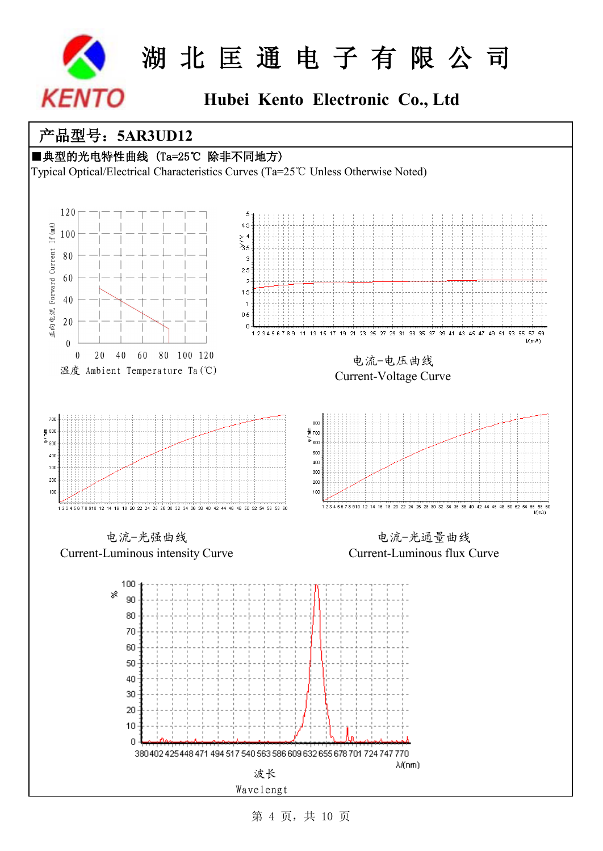

## **Hubei Kento Electronic Co., Ltd**

## 产品型号:**5AR3UD12**

### ■典型的光电特性曲线 (Ta=25℃ 除非不同地方)

Typical Optical/Electrical Characteristics Curves (Ta=25℃ Unless Otherwise Noted)



第 4 页,共 10 页